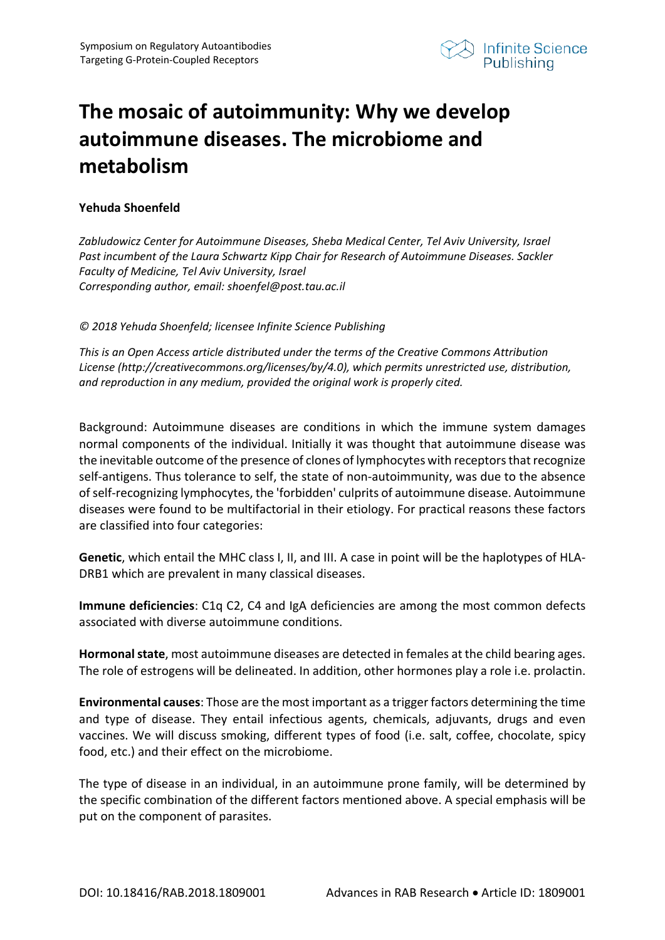

## **The mosaic of autoimmunity: Why we develop autoimmune diseases. The microbiome and metabolism**

## **Yehuda Shoenfeld**

*Zabludowicz Center for Autoimmune Diseases, Sheba Medical Center, Tel Aviv University, Israel Past incumbent of the Laura Schwartz Kipp Chair for Research of Autoimmune Diseases. Sackler Faculty of Medicine, Tel Aviv University, Israel Corresponding author, email: shoenfel@post.tau.ac.il*

*© 2018 Yehuda Shoenfeld; licensee Infinite Science Publishing*

*This is an Open Access article distributed under the terms of the Creative Commons Attribution License (http://creativecommons.org/licenses/by/4.0), which permits unrestricted use, distribution, and reproduction in any medium, provided the original work is properly cited.*

Background: Autoimmune diseases are conditions in which the immune system damages normal components of the individual. Initially it was thought that autoimmune disease was the inevitable outcome of the presence of clones of lymphocytes with receptors that recognize self-antigens. Thus tolerance to self, the state of non-autoimmunity, was due to the absence of self-recognizing lymphocytes, the 'forbidden' culprits of autoimmune disease. Autoimmune diseases were found to be multifactorial in their etiology. For practical reasons these factors are classified into four categories:

**Genetic**, which entail the MHC class I, II, and III. A case in point will be the haplotypes of HLA-DRB1 which are prevalent in many classical diseases.

**Immune deficiencies**: C1q C2, C4 and IgA deficiencies are among the most common defects associated with diverse autoimmune conditions.

**Hormonal state**, most autoimmune diseases are detected in females at the child bearing ages. The role of estrogens will be delineated. In addition, other hormones play a role i.e. prolactin.

**Environmental causes**: Those are the most important as a trigger factors determining the time and type of disease. They entail infectious agents, chemicals, adjuvants, drugs and even vaccines. We will discuss smoking, different types of food (i.e. salt, coffee, chocolate, spicy food, etc.) and their effect on the microbiome.

The type of disease in an individual, in an autoimmune prone family, will be determined by the specific combination of the different factors mentioned above. A special emphasis will be put on the component of parasites.